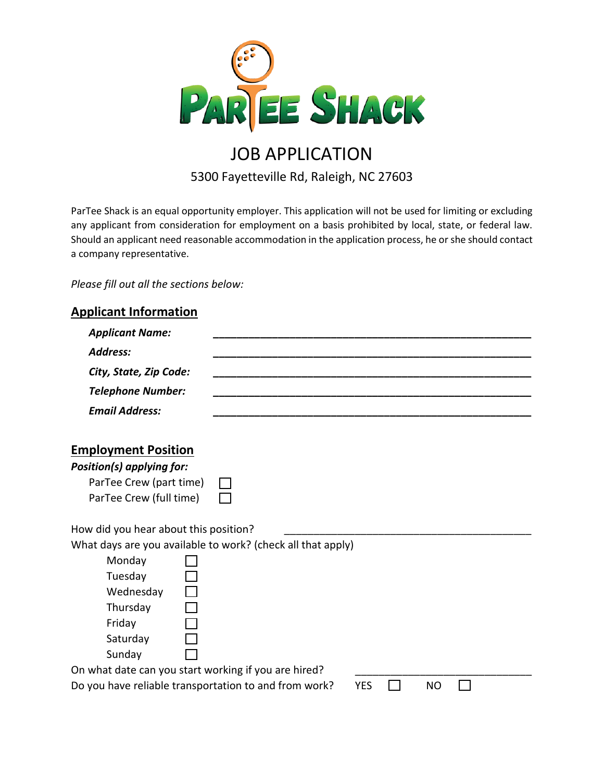

# JOB APPLICATION 5300 Fayetteville Rd, Raleigh, NC 27603

ParTee Shack is an equal opportunity employer. This application will not be used for limiting or excluding any applicant from consideration for employment on a basis prohibited by local, state, or federal law. Should an applicant need reasonable accommodation in the application process, he or she should contact a company representative.

*Please fill out all the sections below:*

## **Applicant Information**

| <b>Applicant Name:</b>                                |                                                             |  |
|-------------------------------------------------------|-------------------------------------------------------------|--|
| <b>Address:</b>                                       |                                                             |  |
| City, State, Zip Code:                                |                                                             |  |
| <b>Telephone Number:</b>                              |                                                             |  |
| <b>Email Address:</b>                                 |                                                             |  |
| <b>Employment Position</b>                            |                                                             |  |
| Position(s) applying for:                             |                                                             |  |
| ParTee Crew (part time)                               |                                                             |  |
| ParTee Crew (full time)                               |                                                             |  |
| How did you hear about this position?                 |                                                             |  |
|                                                       | What days are you available to work? (check all that apply) |  |
| Monday                                                |                                                             |  |
| Tuesday                                               |                                                             |  |
| Wednesday                                             |                                                             |  |
| Thursday                                              |                                                             |  |
| Friday                                                |                                                             |  |
| Saturday                                              |                                                             |  |
| Sunday                                                |                                                             |  |
| On what date can you start working if you are hired?  |                                                             |  |
| Do you have reliable transportation to and from work? | <b>YES</b><br><b>NO</b>                                     |  |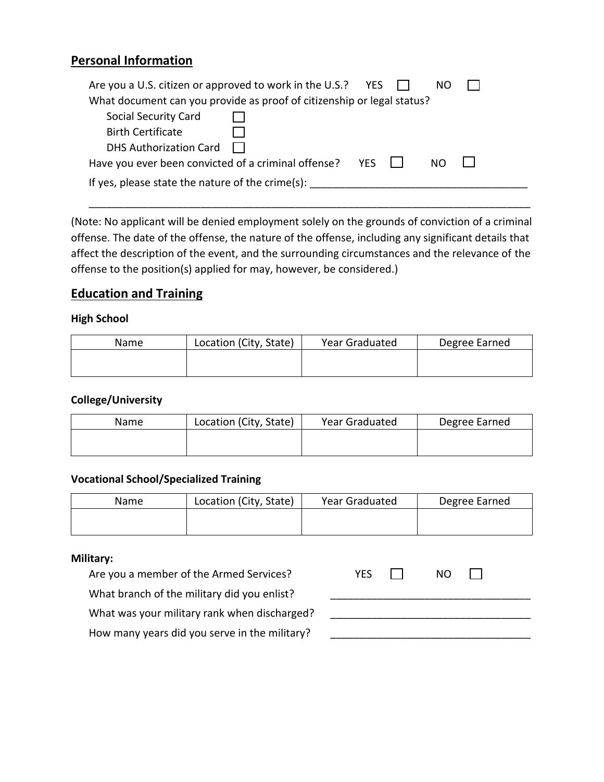## **Personal Information**

| Are you a U.S. citizen or approved to work in the U.S.? YES $\Box$<br>NO. |  |  |  |  |
|---------------------------------------------------------------------------|--|--|--|--|
| What document can you provide as proof of citizenship or legal status?    |  |  |  |  |
| <b>Social Security Card</b>                                               |  |  |  |  |
| <b>Birth Certificate</b>                                                  |  |  |  |  |
| <b>DHS Authorization Card</b>                                             |  |  |  |  |
| Have you ever been convicted of a criminal offense? $YES$<br>NO.          |  |  |  |  |
| If yes, please state the nature of the crime(s):                          |  |  |  |  |

(Note: No applicant will be denied employment solely on the grounds of conviction of a criminal offense. The date of the offense, the nature of the offense, including any significant details that affect the description of the event, and the surrounding circumstances and the relevance of the offense to the position(s) applied for may, however, be considered.)

\_\_\_\_\_\_\_\_\_\_\_\_\_\_\_\_\_\_\_\_\_\_\_\_\_\_\_\_\_\_\_\_\_\_\_\_\_\_\_\_\_\_\_\_\_\_\_\_\_\_\_\_\_\_\_\_\_\_\_\_\_\_\_\_\_\_\_\_\_\_\_\_\_\_\_

### **Education and Training**

#### **High School**

| Name | Location (City, State) | Year Graduated | Degree Earned |
|------|------------------------|----------------|---------------|
|      |                        |                |               |
|      |                        |                |               |

#### **College/University**

| Name | Location (City, State) | Year Graduated | Degree Earned |
|------|------------------------|----------------|---------------|
|      |                        |                |               |
|      |                        |                |               |

#### **Vocational School/Specialized Training**

| Name | Location (City, State) | Year Graduated | Degree Earned |
|------|------------------------|----------------|---------------|
|      |                        |                |               |
|      |                        |                |               |

#### **Military:**

Are you a member of the Armed Services?

What branch of the military did you enlist?

What was your military rank when discharged?

How many years did you serve in the military?

| <b>YES</b> | <b>NO</b> |  |
|------------|-----------|--|
|            |           |  |
|            |           |  |